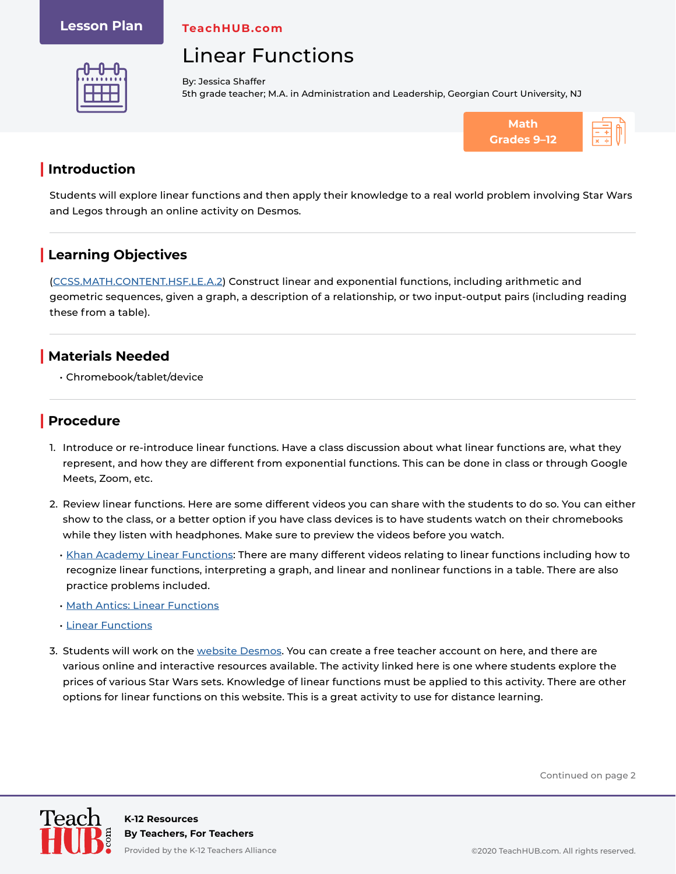#### **Lesson Plan**

**TeachHUB.com**

# Linear Functions



By: Jessica Shaffer 5th grade teacher; M.A. in Administration and Leadership, Georgian Court University, NJ



### **| Introduction**

Students will explore linear functions and then apply their knowledge to a real world problem involving Star Wars and Legos through an online activity on Desmos.

## **| Learning Objectives**

[\(CCSS.MATH.CONTENT.HSF.LE.A.2\)](http://www.corestandards.org/Math/Content/HSF/LE/A/2/) Construct linear and exponential functions, including arithmetic and geometric sequences, given a graph, a description of a relationship, or two input-output pairs (including reading these from a table).

#### **| Materials Needed**

• Chromebook/tablet/device

## **| Procedure**

- 1. Introduce or re-introduce linear functions. Have a class discussion about what linear functions are, what they represent, and how they are different from exponential functions. This can be done in class or through Google Meets, Zoom, etc.
- 2. Review linear functions. Here are some different videos you can share with the students to do so. You can either show to the class, or a better option if you have class devices is to have students watch on their chromebooks while they listen with headphones. Make sure to preview the videos before you watch.
	- [Khan Academy Linear Functions](https://www.khanacademy.org/math/cc-eighth-grade-math/cc-8th-linear-equations-functions/linear-nonlinear-functions-tut/v/recognizing-linear-functions): There are many different videos relating to linear functions including how to recognize linear functions, interpreting a graph, and linear and nonlinear functions in a table. There are also practice problems included.
	- [Math Antics: Linear Functions](https://www.youtube.com/watch?v=MXV65i9g1Xg)
	- [Linear Functions](https://www.youtube.com/watch?v=BtcKotD6Ni8)
- 3. Students will work on the [website Desmos](https://teacher.desmos.com/activitybuilder/custom/57e563aa072703f509160cc2). You can create a free teacher account on here, and there are various online and interactive resources available. The activity linked here is one where students explore the prices of various Star Wars sets. Knowledge of linear functions must be applied to this activity. There are other options for linear functions on this website. This is a great activity to use for distance learning.

Continued on page 2